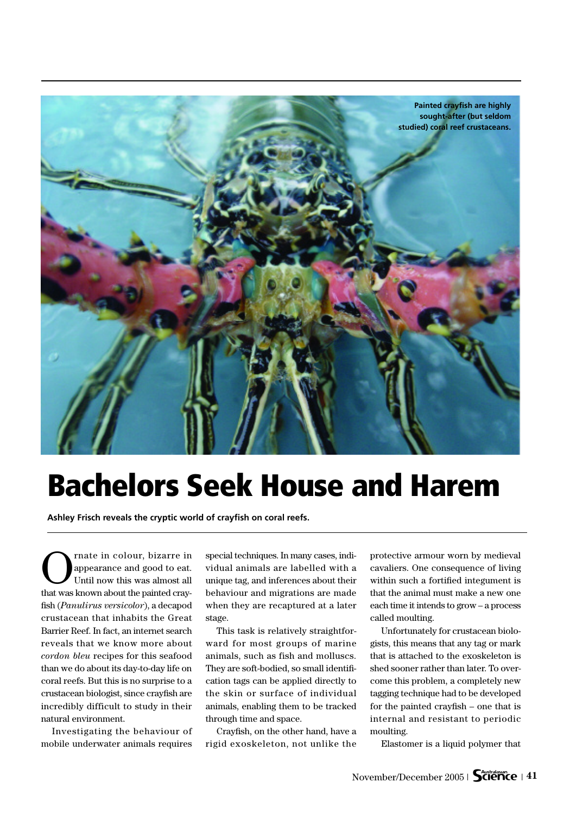

## **Bachelors Seek House and Harem**

**Ashley Frisch reveals the cryptic world of crayfish on coral reefs.**

Trate in colour, bizarre in<br>appearance and good to eat.<br>Until now this was almost all appearance and good to eat. Until now this was almost all that was known about the painted crayfish (*Panulirus versicolor*), a decapod crustacean that inhabits the Great Barrier Reef. In fact, an internet search reveals that we know more about *cordon bleu* recipes for this seafood than we do about its day-to-day life on coral reefs. But this is no surprise to a crustacean biologist, since crayfish are incredibly difficult to study in their natural environment.

Investigating the behaviour of mobile underwater animals requires special techniques. In many cases, individual animals are labelled with a unique tag, and inferences about their behaviour and migrations are made when they are recaptured at a later stage.

This task is relatively straightforward for most groups of marine animals, such as fish and molluscs. They are soft-bodied, so small identification tags can be applied directly to the skin or surface of individual animals, enabling them to be tracked through time and space.

Crayfish, on the other hand, have a rigid exoskeleton, not unlike the

protective armour worn by medieval cavaliers. One consequence of living within such a fortified integument is that the animal must make a new one each time it intends to grow – a process called moulting.

Unfortunately for crustacean biologists, this means that any tag or mark that is attached to the exoskeleton is shed sooner rather than later. To overcome this problem, a completely new tagging technique had to be developed for the painted crayfish – one that is internal and resistant to periodic moulting.

Elastomer is a liquid polymer that